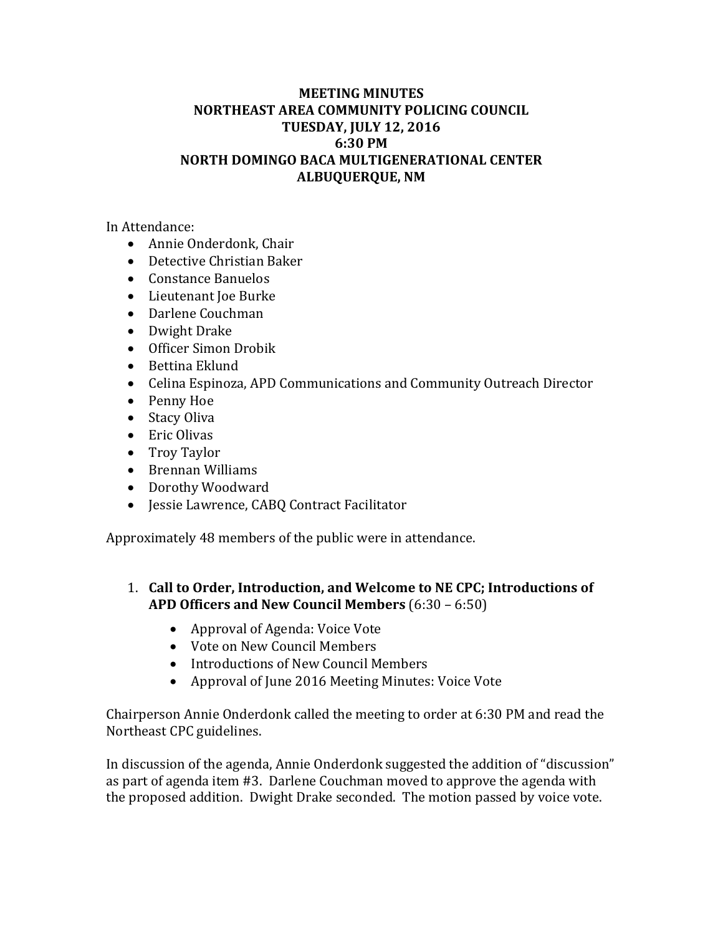## **MEETING MINUTES NORTHEAST AREA COMMUNITY POLICING COUNCIL TUESDAY, JULY 12, 2016 6:30 PM NORTH DOMINGO BACA MULTIGENERATIONAL CENTER ALBUQUERQUE, NM**

In Attendance:

- Annie Onderdonk, Chair
- Detective Christian Baker
- Constance Banuelos
- Lieutenant Joe Burke
- Darlene Couchman
- Dwight Drake
- Officer Simon Drobik
- Bettina Eklund
- Celina Espinoza, APD Communications and Community Outreach Director
- Penny Hoe
- Stacy Oliva
- Eric Olivas
- Troy Taylor
- Brennan Williams
- Dorothy Woodward
- Jessie Lawrence, CABQ Contract Facilitator

Approximately 48 members of the public were in attendance.

- 1. **Call to Order, Introduction, and Welcome to NE CPC; Introductions of APD Officers and New Council Members** (6:30 – 6:50)
	- Approval of Agenda: Voice Vote
	- Vote on New Council Members
	- Introductions of New Council Members
	- Approval of June 2016 Meeting Minutes: Voice Vote

Chairperson Annie Onderdonk called the meeting to order at 6:30 PM and read the Northeast CPC guidelines.

In discussion of the agenda, Annie Onderdonk suggested the addition of "discussion" as part of agenda item  $#3$ . Darlene Couchman moved to approve the agenda with the proposed addition. Dwight Drake seconded. The motion passed by voice vote.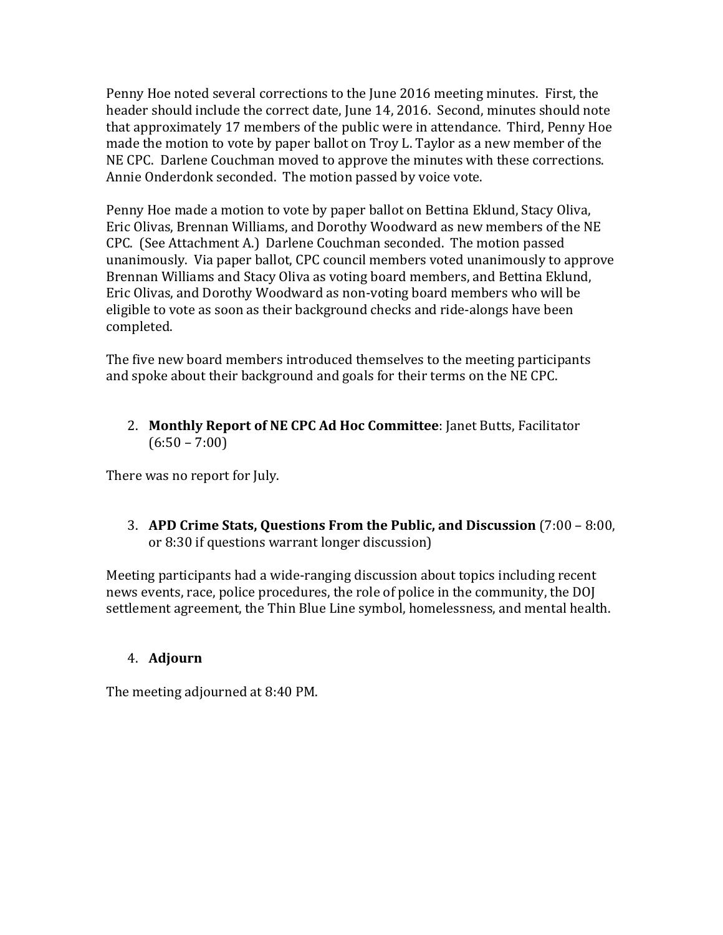Penny Hoe noted several corrections to the June 2016 meeting minutes. First, the header should include the correct date, June 14, 2016. Second, minutes should note that approximately 17 members of the public were in attendance. Third, Penny Hoe made the motion to vote by paper ballot on Troy L. Taylor as a new member of the NE CPC. Darlene Couchman moved to approve the minutes with these corrections. Annie Onderdonk seconded. The motion passed by voice vote.

Penny Hoe made a motion to vote by paper ballot on Bettina Eklund, Stacy Oliva, Eric Olivas, Brennan Williams, and Dorothy Woodward as new members of the NE CPC. (See Attachment A.) Darlene Couchman seconded. The motion passed unanimously. Via paper ballot, CPC council members voted unanimously to approve Brennan Williams and Stacy Oliva as voting board members, and Bettina Eklund, Eric Olivas, and Dorothy Woodward as non-voting board members who will be eligible to vote as soon as their background checks and ride-alongs have been completed. 

The five new board members introduced themselves to the meeting participants and spoke about their background and goals for their terms on the NE CPC.

2. **Monthly Report of NE CPC Ad Hoc Committee**: Janet Butts, Facilitator  $(6:50 - 7:00)$ 

There was no report for July.

3. **APD Crime Stats, Questions From the Public, and Discussion** (7:00 – 8:00, or 8:30 if questions warrant longer discussion)

Meeting participants had a wide-ranging discussion about topics including recent news events, race, police procedures, the role of police in the community, the DOJ settlement agreement, the Thin Blue Line symbol, homelessness, and mental health.

## 4. **Adjourn**

The meeting adjourned at 8:40 PM.